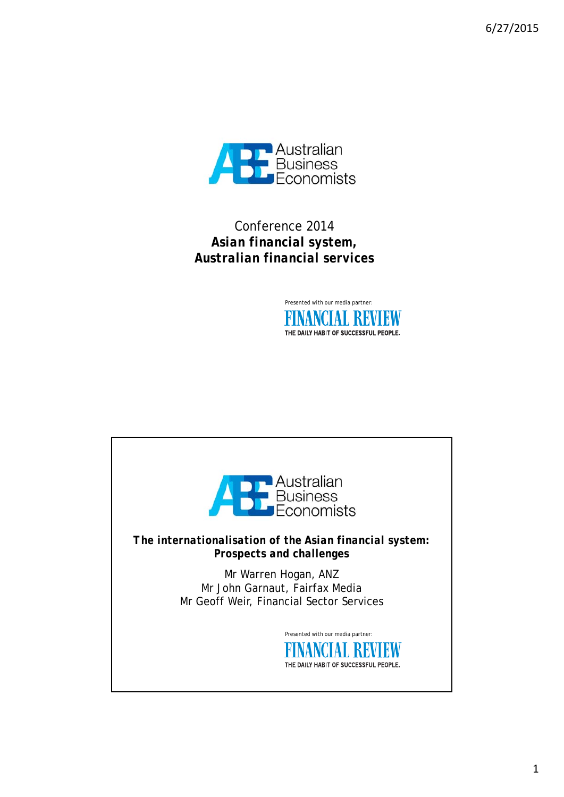6/27/2015



Conference 2014 *Asian financial system, Australian financial services*



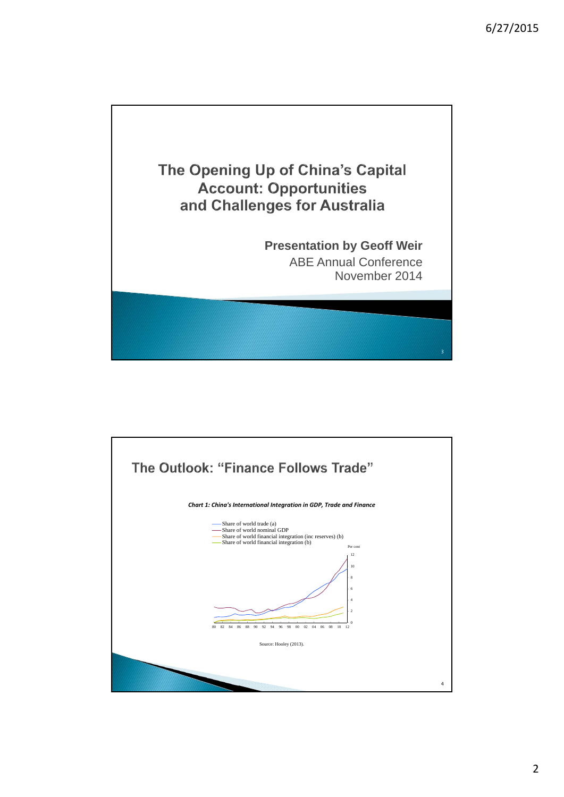

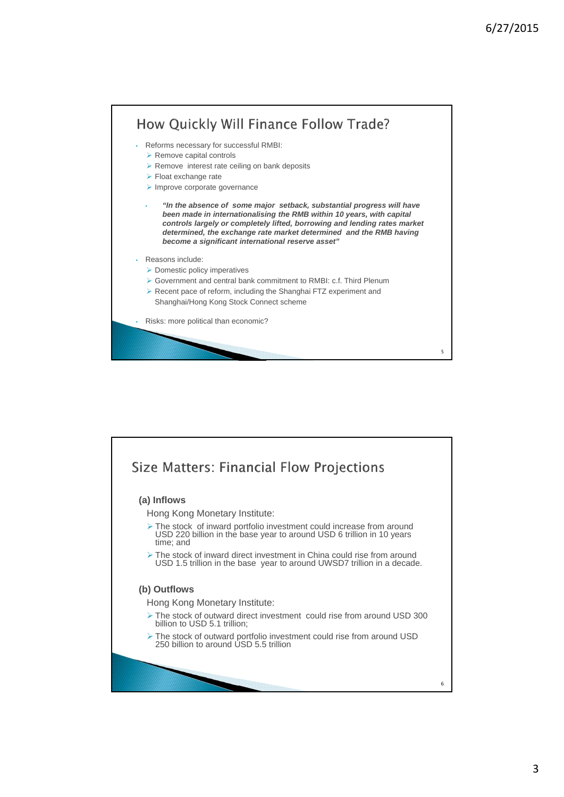

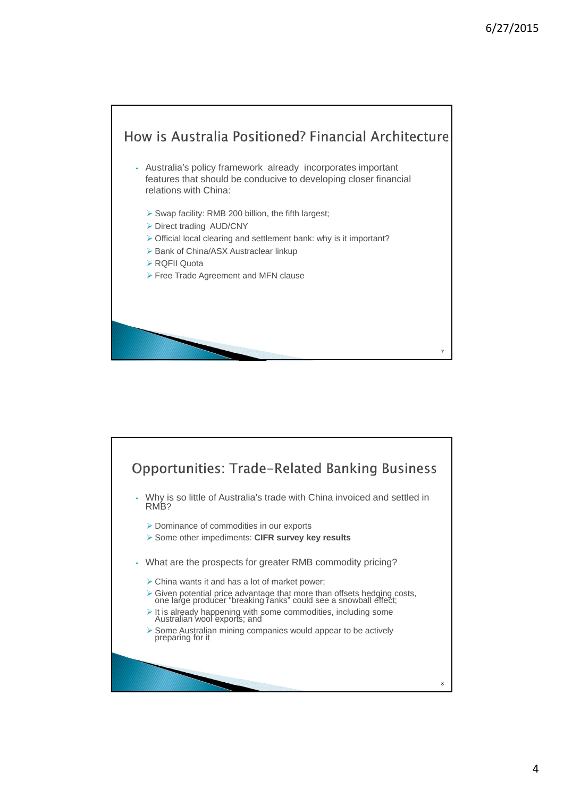

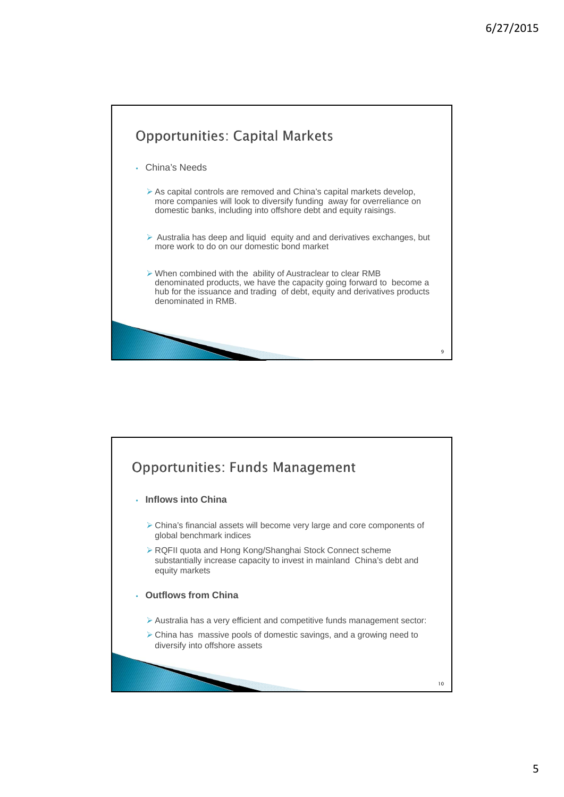